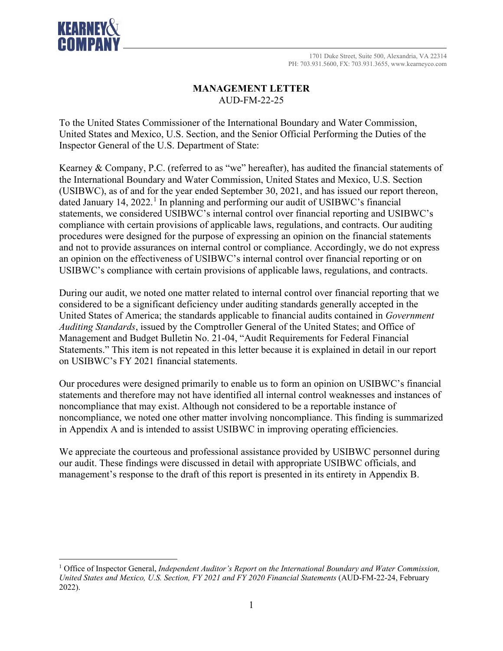

## **MANAGEMENT LETTER** AUD-FM-22-25

To the United States Commissioner of the International Boundary and Water Commission, United States and Mexico, U.S. Section, and the Senior Official Performing the Duties of the Inspector General of the U.S. Department of State:

Kearney & Company, P.C. (referred to as "we" hereafter), has audited the financial statements of the International Boundary and Water Commission, United States and Mexico, U.S. Section (USIBWC), as of and for the year ended September 30, 2021, and has issued our report thereon, dated January [1](#page-0-0)4, 2022.<sup>1</sup> In planning and performing our audit of USIBWC's financial statements, we considered USIBWC's internal control over financial reporting and USIBWC's compliance with certain provisions of applicable laws, regulations, and contracts. Our auditing procedures were designed for the purpose of expressing an opinion on the financial statements and not to provide assurances on internal control or compliance. Accordingly, we do not express an opinion on the effectiveness of USIBWC's internal control over financial reporting or on USIBWC's compliance with certain provisions of applicable laws, regulations, and contracts.

During our audit, we noted one matter related to internal control over financial reporting that we considered to be a significant deficiency under auditing standards generally accepted in the United States of America; the standards applicable to financial audits contained in *Government Auditing Standards*, issued by the Comptroller General of the United States; and Office of Management and Budget Bulletin No. 21-04, "Audit Requirements for Federal Financial Statements." This item is not repeated in this letter because it is explained in detail in our report on USIBWC's FY 2021 financial statements.

Our procedures were designed primarily to enable us to form an opinion on USIBWC's financial statements and therefore may not have identified all internal control weaknesses and instances of noncompliance that may exist. Although not considered to be a reportable instance of noncompliance, we noted one other matter involving noncompliance. This finding is summarized in Appendix A and is intended to assist USIBWC in improving operating efficiencies.

We appreciate the courteous and professional assistance provided by USIBWC personnel during our audit. These findings were discussed in detail with appropriate USIBWC officials, and management's response to the draft of this report is presented in its entirety in Appendix B.

<span id="page-0-0"></span><sup>1</sup> Office of Inspector General, *Independent Auditor's Report on the International Boundary and Water Commission, United States and Mexico, U.S. Section, FY 2021 and FY 2020 Financial Statements* (AUD-FM-22-24, February 2022).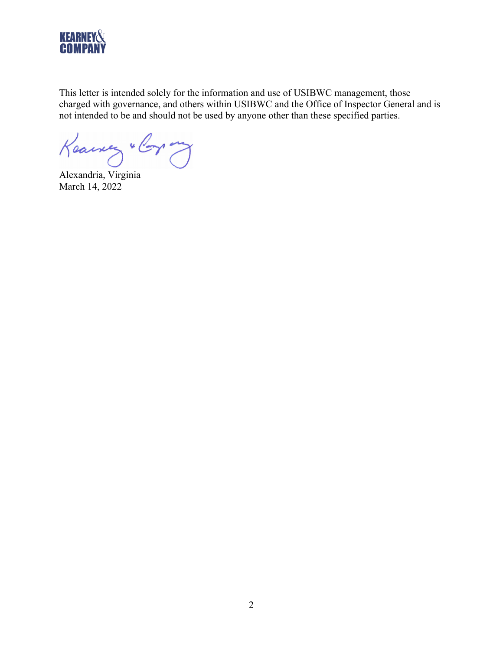

This letter is intended solely for the information and use of USIBWC management, those charged with governance, and others within USIBWC and the Office of Inspector General and is not intended to be and should not be used by anyone other than these specified parties.

Keawery " Corp ony

Alexandria, Virginia March 14, 2022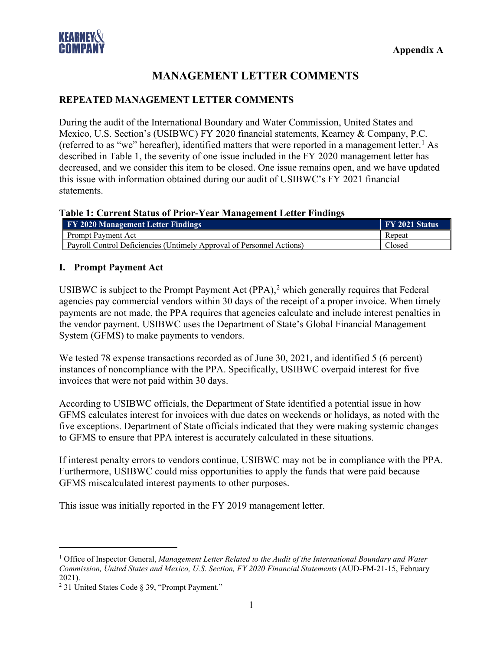

# **MANAGEMENT LETTER COMMENTS**

### **REPEATED MANAGEMENT LETTER COMMENTS**

During the audit of the International Boundary and Water Commission, United States and Mexico, U.S. Section's (USIBWC) FY 2020 financial statements, Kearney & Company, P.C. (referred to as "we" hereafter), identified matters that were reported in a management letter.<sup>[1](#page-2-0)</sup> As described in Table 1, the severity of one issue included in the FY 2020 management letter has decreased, and we consider this item to be closed. One issue remains open, and we have updated this issue with information obtained during our audit of USIBWC's FY 2021 financial statements.

#### **Table 1: Current Status of Prior-Year Management Letter Findings**

| <b>FY 2020 Management Letter Findings</b>                             | <b>FY 2021 Status</b> |
|-----------------------------------------------------------------------|-----------------------|
| Prompt Payment Act                                                    | Repeat                |
| Payroll Control Deficiencies (Untimely Approval of Personnel Actions) | Closed                |

#### **I. Prompt Payment Act**

USIBWC is subject to the Prompt Payment Act  $(PPA)$ ,<sup>[2](#page-2-1)</sup> which generally requires that Federal agencies pay commercial vendors within 30 days of the receipt of a proper invoice. When timely payments are not made, the PPA requires that agencies calculate and include interest penalties in the vendor payment. USIBWC uses the Department of State's Global Financial Management System (GFMS) to make payments to vendors.

We tested 78 expense transactions recorded as of June 30, 2021, and identified 5 (6 percent) instances of noncompliance with the PPA. Specifically, USIBWC overpaid interest for five invoices that were not paid within 30 days.

According to USIBWC officials, the Department of State identified a potential issue in how GFMS calculates interest for invoices with due dates on weekends or holidays, as noted with the five exceptions. Department of State officials indicated that they were making systemic changes to GFMS to ensure that PPA interest is accurately calculated in these situations.

If interest penalty errors to vendors continue, USIBWC may not be in compliance with the PPA. Furthermore, USIBWC could miss opportunities to apply the funds that were paid because GFMS miscalculated interest payments to other purposes.

This issue was initially reported in the FY 2019 management letter.

<span id="page-2-0"></span><sup>1</sup> Office of Inspector General, *Management Letter Related to the Audit of the International Boundary and Water Commission, United States and Mexico, U.S. Section, FY 2020 Financial Statements* (AUD-FM-21-15, February 2021).

<span id="page-2-1"></span><sup>2</sup> 31 United States Code § 39, "Prompt Payment."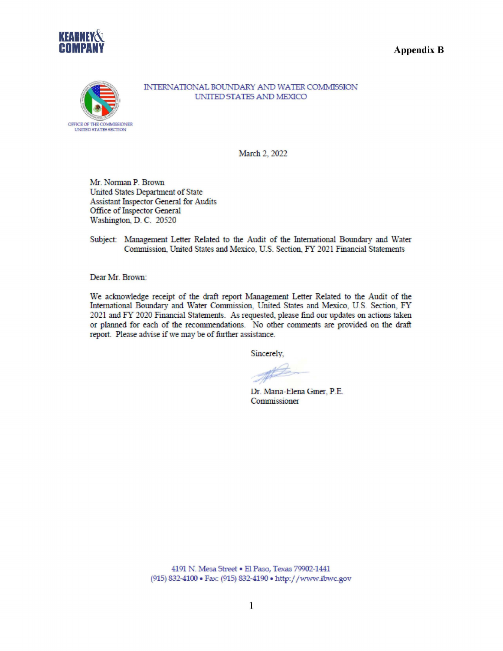





INTERNATIONAL BOUNDARY AND WATER COMMISSION UNITED STATES AND MEXICO

March 2, 2022

Mr. Norman P. Brown United States Department of State **Assistant Inspector General for Audits** Office of Inspector General Washington, D. C. 20520

Subject: Management Letter Related to the Audit of the International Boundary and Water Commission, United States and Mexico, U.S. Section, FY 2021 Financial Statements

Dear Mr. Brown:

We acknowledge receipt of the draft report Management Letter Related to the Audit of the International Boundary and Water Commission, United States and Mexico, U.S. Section, FY 2021 and FY 2020 Financial Statements. As requested, please find our updates on actions taken or planned for each of the recommendations. No other comments are provided on the draft report. Please advise if we may be of further assistance.

Sincerely.

Dr. Mana-Elena Giner, P.E. Commissioner